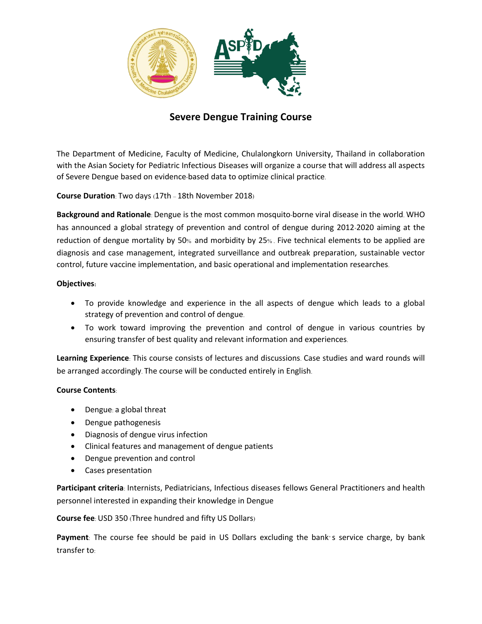

# **Severe Dengue Training Course**

The Department of Medicine, Faculty of Medicine, Chulalongkorn University, Thailand in collaboration with the Asian Society for Pediatric Infectious Diseases will organize a course that will address all aspects of Severe Dengue based on evidence-based data to optimize clinical practice.

**Course Duration**: Two days (17th – 18th November 2018)

**Background and Rationale**: Dengue is the most common mosquito-borne viral disease in the world. WHO has announced a global strategy of prevention and control of dengue during 2012-2020 aiming at the reduction of dengue mortality by 50% and morbidity by 25% . Five technical elements to be applied are diagnosis and case management, integrated surveillance and outbreak preparation, sustainable vector control, future vaccine implementation, and basic operational and implementation researches.

## **Objectives:**

- To provide knowledge and experience in the all aspects of dengue which leads to a global strategy of prevention and control of dengue.
- To work toward improving the prevention and control of dengue in various countries by ensuring transfer of best quality and relevant information and experiences.

**Learning Experience**: This course consists of lectures and discussions. Case studies and ward rounds will be arranged accordingly. The course will be conducted entirely in English.

### **Course Contents**:

- Dengue: a global threat
- Dengue pathogenesis
- Diagnosis of dengue virus infection
- Clinical features and management of dengue patients
- Dengue prevention and control
- Cases presentation

**Participant criteria**: Internists, Pediatricians, Infectious diseases fellows General Practitioners and health personnel interested in expanding their knowledge in Dengue

**Course fee**: USD 350 (Three hundred and fifty US Dollars)

**Payment**: The course fee should be paid in US Dollars excluding the bank's service charge, by bank transfer to: